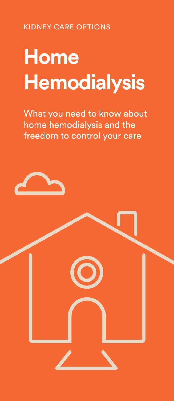KIDNEY CARE OPTIONS

# **Home Hemodialysis**

What you need to know about home hemodialysis and the freedom to control your care

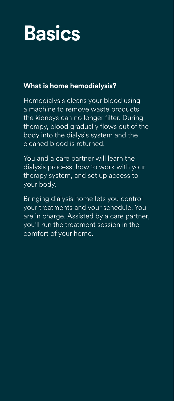# **Basics**

## **What is home hemodialysis?**

Hemodialysis cleans your blood using a machine to remove waste products the kidneys can no longer filter. During therapy, blood gradually flows out of the body into the dialysis system and the cleaned blood is returned.

You and a care partner will learn the dialysis process, how to work with your therapy system, and set up access to your body.

Bringing dialysis home lets you control your treatments and your schedule. You are in charge. Assisted by a care partner, you'll run the treatment session in the comfort of your home.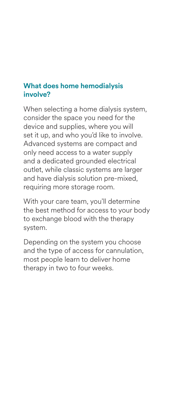#### **What does home hemodialysis involve?**

When selecting a home dialysis system, consider the space you need for the device and supplies, where you will set it up, and who you'd like to involve. Advanced systems are compact and only need access to a water supply and a dedicated grounded electrical outlet, while classic systems are larger and have dialysis solution pre-mixed, requiring more storage room.

With your care team, you'll determine the best method for access to your body to exchange blood with the therapy system.

Depending on the system you choose and the type of access for cannulation, most people learn to deliver home therapy in two to four weeks.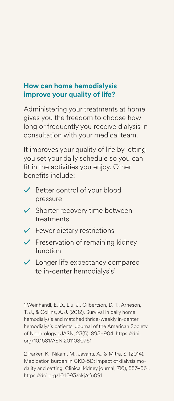#### **How can home hemodialysis improve your quality of life?**

Administering your treatments at home gives you the freedom to choose how long or frequently you receive dialysis in consultation with your medical team.

It improves your quality of life by letting you set your daily schedule so you can fit in the activities you enjoy. Other benefits include:

- **✓** Better control of your blood pressure
- **✓** Shorter recovery time between treatments
- **✓** Fewer dietary restrictions
- **✓** Preservation of remaining kidney function
- **✓** Longer life expectancy compared to in-center hemodialysis<sup>1</sup>

1 Weinhandl, E. D., Liu, J., Gilbertson, D. T., Arneson, T. J., & Collins, A. J. (2012). Survival in daily home hemodialysis and matched thrice-weekly in-center hemodialysis patients. Journal of the American Society of Nephrology : JASN, 23(5), 895–904. https://doi. org/10.1681/ASN.2011080761

2 Parker, K., Nikam, M., Jayanti, A., & Mitra, S. (2014). Medication burden in CKD-5D: impact of dialysis modality and setting. Clinical kidney journal, 7(6), 557–561. https://doi.org/10.1093/ckj/sfu091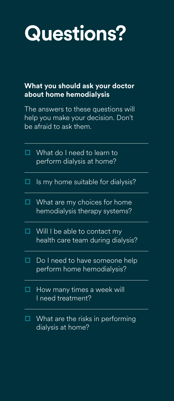# **Questions?**

### **What you should ask your doctor about home hemodialysis**

The answers to these questions will help you make your decision. Don't be afraid to ask them.

|   | What do I need to learn to<br>perform dialysis at home?           |
|---|-------------------------------------------------------------------|
| □ | Is my home suitable for dialysis?                                 |
|   | What are my choices for home<br>hemodialysis therapy systems?     |
|   | Will I be able to contact my<br>health care team during dialysis? |
|   | Do I need to have someone help<br>perform home hemodialysis?      |
|   | How many times a week will<br>I need treatment?                   |
|   | What are the risks in performing<br>dialysis at home?             |